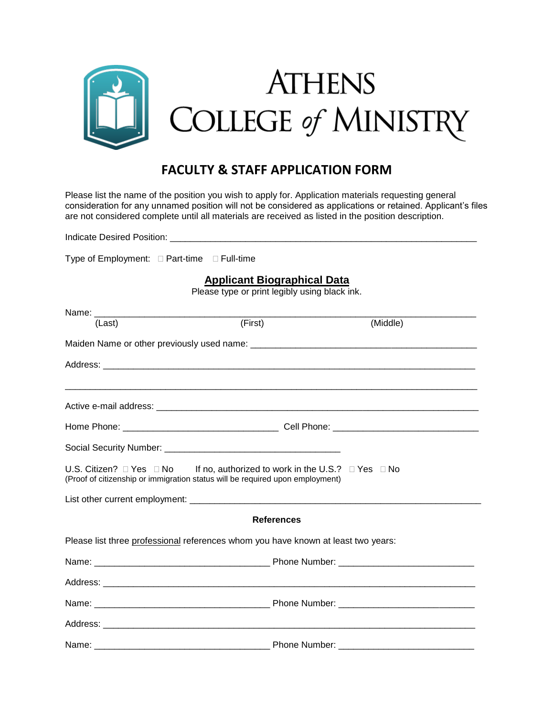

## **FACULTY & STAFF APPLICATION FORM**

Please list the name of the position you wish to apply for. Application materials requesting general consideration for any unnamed position will not be considered as applications or retained. Applicant's files are not considered complete until all materials are received as listed in the position description.

Indicate Desired Position: \_\_\_\_\_\_ Type of Employment:  $\Box$  Part-time  $\Box$  Full-time

**Applicant Biographical Data**

Please type or print legibly using black ink.

| (Last) | (First)                                                                                                                                                                         | (Middle) |  |
|--------|---------------------------------------------------------------------------------------------------------------------------------------------------------------------------------|----------|--|
|        |                                                                                                                                                                                 |          |  |
|        |                                                                                                                                                                                 |          |  |
|        |                                                                                                                                                                                 |          |  |
|        |                                                                                                                                                                                 |          |  |
|        |                                                                                                                                                                                 |          |  |
|        | U.S. Citizen? $\Box$ Yes $\Box$ No If no, authorized to work in the U.S.? $\Box$ Yes $\Box$ No<br>(Proof of citizenship or immigration status will be required upon employment) |          |  |
|        |                                                                                                                                                                                 |          |  |
|        | <b>References</b>                                                                                                                                                               |          |  |
|        | Please list three professional references whom you have known at least two years:                                                                                               |          |  |
|        |                                                                                                                                                                                 |          |  |
|        |                                                                                                                                                                                 |          |  |
|        |                                                                                                                                                                                 |          |  |
|        |                                                                                                                                                                                 |          |  |
|        |                                                                                                                                                                                 |          |  |